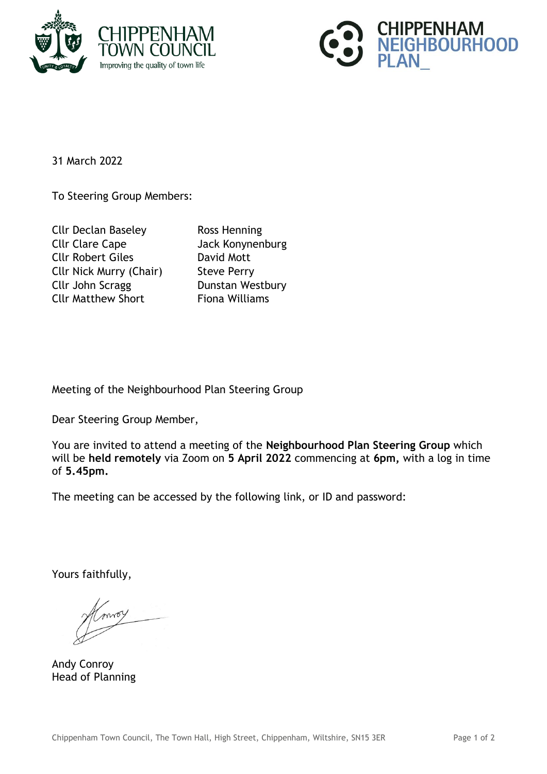



31 March 2022

To Steering Group Members:

Cllr Declan Baseley Ross Henning Cllr Clare Cape Jack Konynenburg Cllr Robert Giles David Mott Cllr Nick Murry (Chair) Steve Perry Cllr John Scragg Dunstan Westbury Cllr Matthew Short Fiona Williams

Meeting of the Neighbourhood Plan Steering Group

Dear Steering Group Member,

You are invited to attend a meeting of the **Neighbourhood Plan Steering Group** which will be **held remotely** via Zoom on **5 April 2022** commencing at **6pm,** with a log in time of **5.45pm.**

The meeting can be accessed by the following link, or ID and password:

Yours faithfully,

Andy Conroy Head of Planning